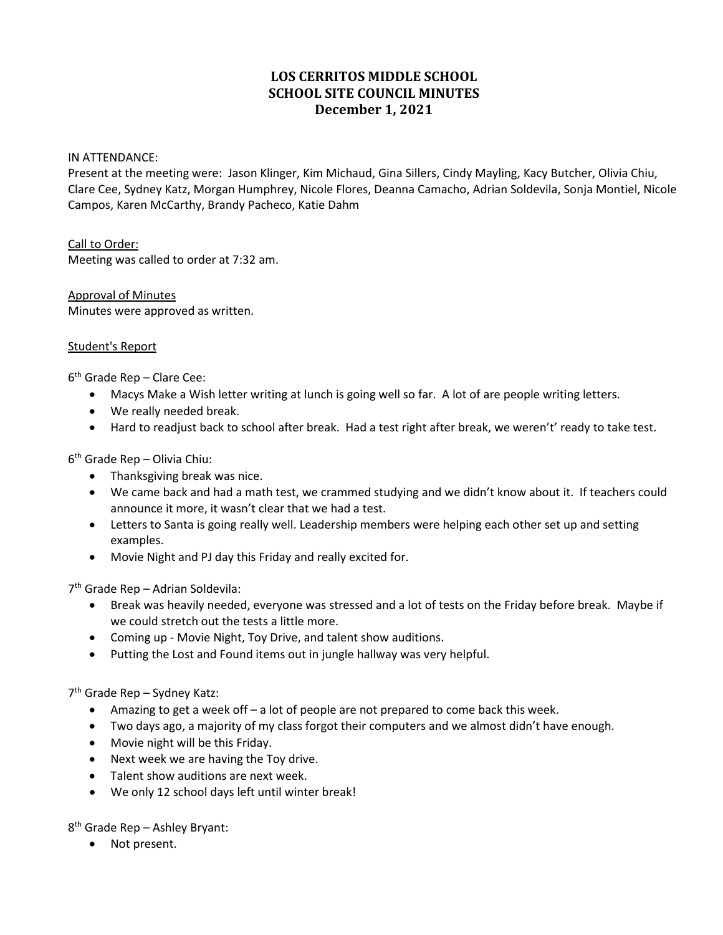# **LOS CERRITOS MIDDLE SCHOOL SCHOOL SITE COUNCIL MINUTES December 1, 2021**

#### IN ATTENDANCE:

Present at the meeting were: Jason Klinger, Kim Michaud, Gina Sillers, Cindy Mayling, Kacy Butcher, Olivia Chiu, Clare Cee, Sydney Katz, Morgan Humphrey, Nicole Flores, Deanna Camacho, Adrian Soldevila, Sonja Montiel, Nicole Campos, Karen McCarthy, Brandy Pacheco, Katie Dahm

### Call to Order:

Meeting was called to order at 7:32 am.

Approval of Minutes Minutes were approved as written.

#### Student's Report

 $6<sup>th</sup>$  Grade Rep – Clare Cee:

- Macys Make a Wish letter writing at lunch is going well so far. A lot of are people writing letters.
- We really needed break.
- Hard to readjust back to school after break. Had a test right after break, we weren't' ready to take test.

6th Grade Rep – Olivia Chiu:

- Thanksgiving break was nice.
- We came back and had a math test, we crammed studying and we didn't know about it. If teachers could announce it more, it wasn't clear that we had a test.
- Letters to Santa is going really well. Leadership members were helping each other set up and setting examples.
- Movie Night and PJ day this Friday and really excited for.

7th Grade Rep – Adrian Soldevila:

- Break was heavily needed, everyone was stressed and a lot of tests on the Friday before break. Maybe if we could stretch out the tests a little more.
- Coming up Movie Night, Toy Drive, and talent show auditions.
- Putting the Lost and Found items out in jungle hallway was very helpful.

7th Grade Rep – Sydney Katz:

- Amazing to get a week off a lot of people are not prepared to come back this week.
- Two days ago, a majority of my class forgot their computers and we almost didn't have enough.
- Movie night will be this Friday.
- Next week we are having the Toy drive.
- Talent show auditions are next week.
- We only 12 school days left until winter break!

8th Grade Rep – Ashley Bryant:

• Not present.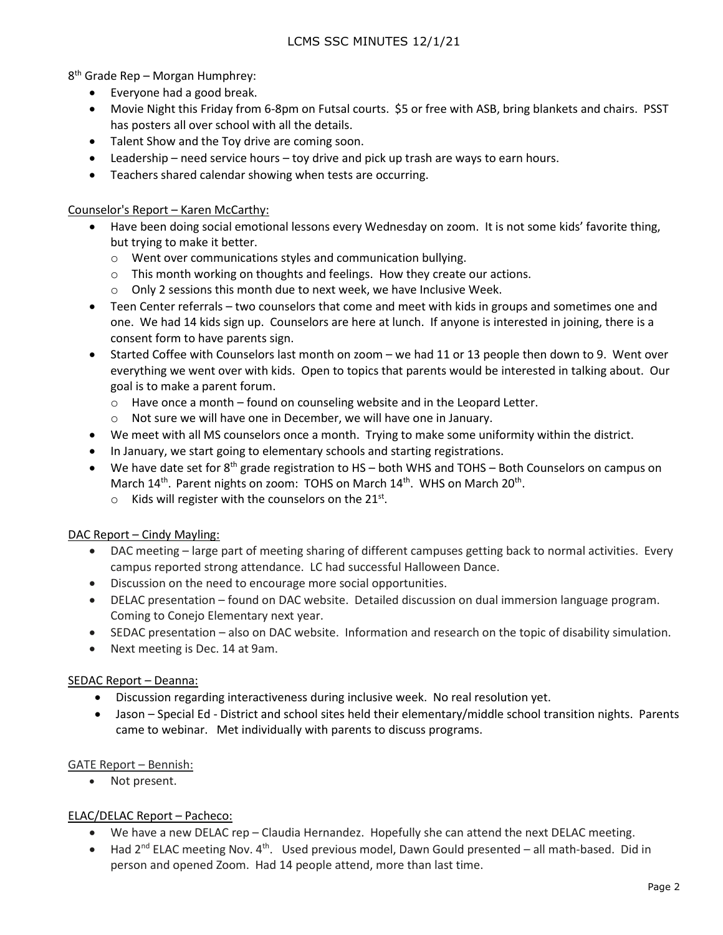8th Grade Rep – Morgan Humphrey:

- Everyone had a good break.
- Movie Night this Friday from 6-8pm on Futsal courts. \$5 or free with ASB, bring blankets and chairs. PSST has posters all over school with all the details.
- Talent Show and the Toy drive are coming soon.
- Leadership need service hours toy drive and pick up trash are ways to earn hours.
- Teachers shared calendar showing when tests are occurring.

Counselor's Report – Karen McCarthy:

- Have been doing social emotional lessons every Wednesday on zoom. It is not some kids' favorite thing, but trying to make it better.
	- o Went over communications styles and communication bullying.
	- $\circ$  This month working on thoughts and feelings. How they create our actions.
	- $\circ$  Only 2 sessions this month due to next week, we have Inclusive Week.
- Teen Center referrals two counselors that come and meet with kids in groups and sometimes one and one. We had 14 kids sign up. Counselors are here at lunch. If anyone is interested in joining, there is a consent form to have parents sign.
- Started Coffee with Counselors last month on zoom we had 11 or 13 people then down to 9. Went over everything we went over with kids. Open to topics that parents would be interested in talking about. Our goal is to make a parent forum.
	- $\circ$  Have once a month found on counseling website and in the Leopard Letter.
	- o Not sure we will have one in December, we will have one in January.
- We meet with all MS counselors once a month. Trying to make some uniformity within the district.
- In January, we start going to elementary schools and starting registrations.
- We have date set for  $8^{th}$  grade registration to HS both WHS and TOHS Both Counselors on campus on March  $14^{th}$ . Parent nights on zoom: TOHS on March  $14^{th}$ . WHS on March  $20^{th}$ .
	- $\circ$  Kids will register with the counselors on the 21<sup>st</sup>.

### DAC Report – Cindy Mayling:

- DAC meeting large part of meeting sharing of different campuses getting back to normal activities. Every campus reported strong attendance. LC had successful Halloween Dance.
- Discussion on the need to encourage more social opportunities.
- DELAC presentation found on DAC website. Detailed discussion on dual immersion language program. Coming to Conejo Elementary next year.
- SEDAC presentation also on DAC website. Information and research on the topic of disability simulation.
- Next meeting is Dec. 14 at 9am.

### SEDAC Report – Deanna:

- Discussion regarding interactiveness during inclusive week. No real resolution yet.
- Jason Special Ed District and school sites held their elementary/middle school transition nights. Parents came to webinar. Met individually with parents to discuss programs.

### GATE Report – Bennish:

• Not present.

## ELAC/DELAC Report – Pacheco:

- We have a new DELAC rep Claudia Hernandez. Hopefully she can attend the next DELAC meeting.
- Had  $2^{nd}$  ELAC meeting Nov.  $4^{th}$ . Used previous model, Dawn Gould presented all math-based. Did in person and opened Zoom. Had 14 people attend, more than last time.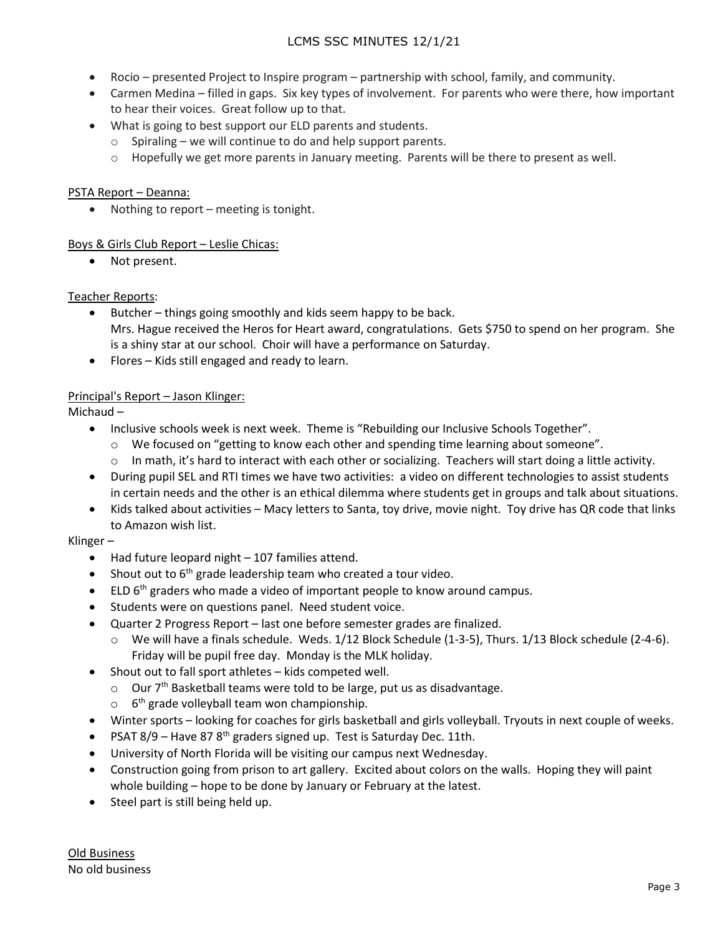- Rocio presented Project to Inspire program partnership with school, family, and community.
- Carmen Medina filled in gaps. Six key types of involvement. For parents who were there, how important to hear their voices. Great follow up to that.
- What is going to best support our ELD parents and students.
	- o Spiraling we will continue to do and help support parents.
	- $\circ$  Hopefully we get more parents in January meeting. Parents will be there to present as well.

## PSTA Report – Deanna:

• Nothing to report – meeting is tonight.

### Boys & Girls Club Report – Leslie Chicas:

• Not present.

### Teacher Reports:

- Butcher things going smoothly and kids seem happy to be back. Mrs. Hague received the Heros for Heart award, congratulations. Gets \$750 to spend on her program. She is a shiny star at our school. Choir will have a performance on Saturday.
- Flores Kids still engaged and ready to learn.

## Principal's Report – Jason Klinger:

Michaud –

- Inclusive schools week is next week. Theme is "Rebuilding our Inclusive Schools Together".
	- $\circ$  We focused on "getting to know each other and spending time learning about someone".
	- o In math, it's hard to interact with each other or socializing. Teachers will start doing a little activity.
- During pupil SEL and RTI times we have two activities: a video on different technologies to assist students in certain needs and the other is an ethical dilemma where students get in groups and talk about situations.
- Kids talked about activities Macy letters to Santa, toy drive, movie night. Toy drive has QR code that links to Amazon wish list.

## Klinger –

- Had future leopard night 107 families attend.
- Shout out to  $6<sup>th</sup>$  grade leadership team who created a tour video.
- $\bullet$  ELD  $6<sup>th</sup>$  graders who made a video of important people to know around campus.
- Students were on questions panel. Need student voice.
- Quarter 2 Progress Report last one before semester grades are finalized.
	- o We will have a finals schedule. Weds. 1/12 Block Schedule (1-3-5), Thurs. 1/13 Block schedule (2-4-6). Friday will be pupil free day. Monday is the MLK holiday.
- Shout out to fall sport athletes kids competed well.
	- $\circ$  Our 7<sup>th</sup> Basketball teams were told to be large, put us as disadvantage.
	- $\circ$  6<sup>th</sup> grade volleyball team won championship.
- Winter sports looking for coaches for girls basketball and girls volleyball. Tryouts in next couple of weeks.
- PSAT  $8/9$  Have  $878<sup>th</sup>$  graders signed up. Test is Saturday Dec. 11th.
- University of North Florida will be visiting our campus next Wednesday.
- Construction going from prison to art gallery. Excited about colors on the walls. Hoping they will paint whole building – hope to be done by January or February at the latest.
- Steel part is still being held up.